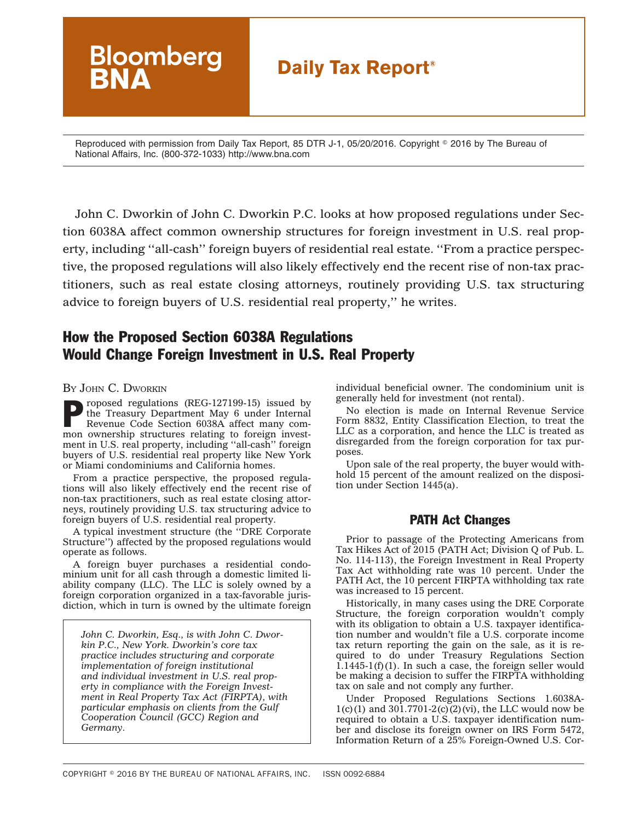# **Bloomberg Daily Tax Report®**

Reproduced with permission from Daily Tax Report, 85 DTR J-1, 05/20/2016. Copyright © 2016 by The Bureau of National Affairs, Inc. (800-372-1033) http://www.bna.com

John C. Dworkin of John C. Dworkin P.C. looks at how proposed regulations under Section 6038A affect common ownership structures for foreign investment in U.S. real property, including ''all-cash'' foreign buyers of residential real estate. ''From a practice perspective, the proposed regulations will also likely effectively end the recent rise of non-tax practitioners, such as real estate closing attorneys, routinely providing U.S. tax structuring advice to foreign buyers of U.S. residential real property,'' he writes.

# How the Proposed Section 6038A Regulations Would Change Foreign Investment in U.S. Real Property

BY JOHN C. DWORKIN

roposed regulations (REG-127199-15) issued by the Treasury Department May 6 under Internal Revenue Code Section 6038A affect many common ownership structures relating to foreign investment in U.S. real property, including ''all-cash'' foreign buyers of U.S. residential real property like New York or Miami condominiums and California homes.

From a practice perspective, the proposed regulations will also likely effectively end the recent rise of non-tax practitioners, such as real estate closing attorneys, routinely providing U.S. tax structuring advice to foreign buyers of U.S. residential real property.

A typical investment structure (the ''DRE Corporate Structure'') affected by the proposed regulations would operate as follows.

A foreign buyer purchases a residential condominium unit for all cash through a domestic limited liability company (LLC). The LLC is solely owned by a foreign corporation organized in a tax-favorable jurisdiction, which in turn is owned by the ultimate foreign

*John C. Dworkin, Esq., is with John C. Dworkin P.C., New York. Dworkin's core tax practice includes structuring and corporate implementation of foreign institutional and individual investment in U.S. real property in compliance with the Foreign Investment in Real Property Tax Act (FIRPTA), with particular emphasis on clients from the Gulf Cooperation Council (GCC) Region and Germany.*

individual beneficial owner. The condominium unit is generally held for investment (not rental).

No election is made on Internal Revenue Service Form 8832, Entity Classification Election, to treat the LLC as a corporation, and hence the LLC is treated as disregarded from the foreign corporation for tax purposes.

Upon sale of the real property, the buyer would withhold 15 percent of the amount realized on the disposition under Section 1445(a).

## PATH Act Changes

Prior to passage of the Protecting Americans from Tax Hikes Act of 2015 (PATH Act; Division Q of Pub. L. No. 114-113), the Foreign Investment in Real Property Tax Act withholding rate was 10 percent. Under the PATH Act, the 10 percent FIRPTA withholding tax rate was increased to 15 percent.

Historically, in many cases using the DRE Corporate Structure, the foreign corporation wouldn't comply with its obligation to obtain a U.S. taxpayer identification number and wouldn't file a U.S. corporate income tax return reporting the gain on the sale, as it is required to do under Treasury Regulations Section  $1.1445-1(f)(1)$ . In such a case, the foreign seller would be making a decision to suffer the FIRPTA withholding tax on sale and not comply any further.

Under Proposed Regulations Sections 1.6038A- $1(c)(1)$  and  $301.7701-2(c)(2)(vi)$ , the LLC would now be required to obtain a U.S. taxpayer identification number and disclose its foreign owner on IRS Form 5472, Information Return of a 25% Foreign-Owned U.S. Cor